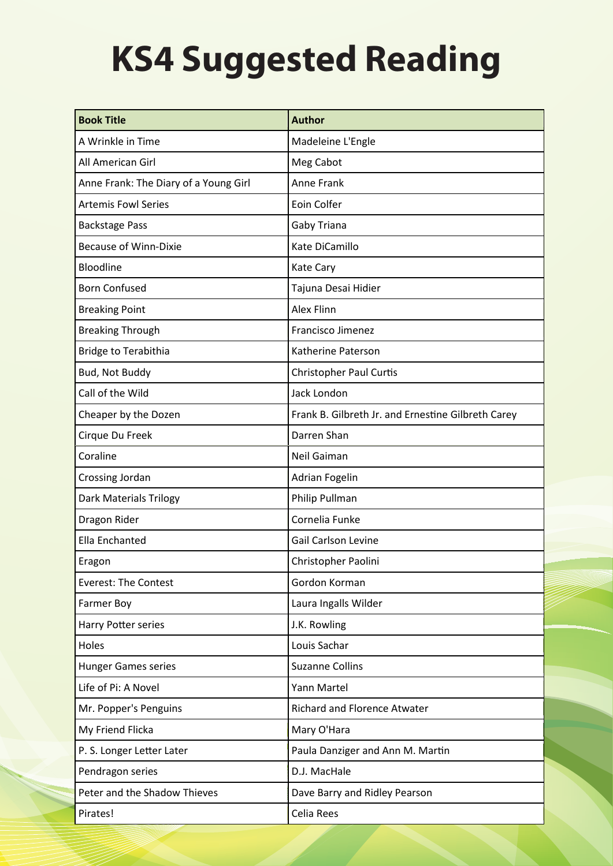## **KS4 Suggested Reading**

| <b>Book Title</b>                     | <b>Author</b>                                      |
|---------------------------------------|----------------------------------------------------|
| A Wrinkle in Time                     | Madeleine L'Engle                                  |
| All American Girl                     | Meg Cabot                                          |
| Anne Frank: The Diary of a Young Girl | Anne Frank                                         |
| <b>Artemis Fowl Series</b>            | Eoin Colfer                                        |
| <b>Backstage Pass</b>                 | Gaby Triana                                        |
| <b>Because of Winn-Dixie</b>          | Kate DiCamillo                                     |
| Bloodline                             | Kate Cary                                          |
| <b>Born Confused</b>                  | Tajuna Desai Hidier                                |
| <b>Breaking Point</b>                 | Alex Flinn                                         |
| <b>Breaking Through</b>               | Francisco Jimenez                                  |
| <b>Bridge to Terabithia</b>           | Katherine Paterson                                 |
| Bud, Not Buddy                        | <b>Christopher Paul Curtis</b>                     |
| Call of the Wild                      | Jack London                                        |
| Cheaper by the Dozen                  | Frank B. Gilbreth Jr. and Ernestine Gilbreth Carey |
| Cirque Du Freek                       | Darren Shan                                        |
| Coraline                              | Neil Gaiman                                        |
| Crossing Jordan                       | Adrian Fogelin                                     |
| Dark Materials Trilogy                | Philip Pullman                                     |
| Dragon Rider                          | Cornelia Funke                                     |
| Ella Enchanted                        | <b>Gail Carlson Levine</b>                         |
| Eragon                                | Christopher Paolini                                |
| <b>Everest: The Contest</b>           | Gordon Korman                                      |
| Farmer Boy                            | Laura Ingalls Wilder                               |
| Harry Potter series                   | J.K. Rowling                                       |
| Holes                                 | Louis Sachar                                       |
| <b>Hunger Games series</b>            | <b>Suzanne Collins</b>                             |
| Life of Pi: A Novel                   | Yann Martel                                        |
| Mr. Popper's Penguins                 | Richard and Florence Atwater                       |
| My Friend Flicka                      | Mary O'Hara                                        |
| P. S. Longer Letter Later             | Paula Danziger and Ann M. Martin                   |
| Pendragon series                      | D.J. MacHale                                       |
| Peter and the Shadow Thieves          | Dave Barry and Ridley Pearson                      |
| Pirates!                              | Celia Rees                                         |